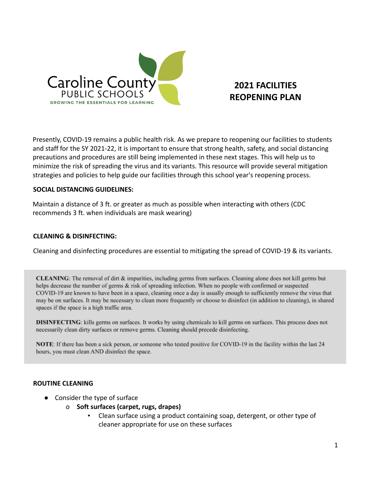

# **2021 FACILITIES REOPENING PLAN**

Presently, COVID-19 remains a public health risk. As we prepare to reopening our facilities to students and staff for the SY 2021-22, it is important to ensure that strong health, safety, and social distancing precautions and procedures are still being implemented in these next stages. This will help us to minimize the risk of spreading the virus and its variants. This resource will provide several mitigation strategies and policies to help guide our facilities through this school year's reopening process.

## **SOCIAL DISTANCING GUIDELINES:**

Maintain a distance of 3 ft. or greater as much as possible when interacting with others (CDC recommends 3 ft. when individuals are mask wearing)

## **CLEANING & DISINFECTING:**

Cleaning and disinfecting procedures are essential to mitigating the spread of COVID-19 & its variants.

CLEANING: The removal of dirt & impurities, including germs from surfaces. Cleaning alone does not kill germs but helps decrease the number of germs & risk of spreading infection. When no people with confirmed or suspected COVID-19 are known to have been in a space, cleaning once a day is usually enough to sufficiently remove the virus that may be on surfaces. It may be necessary to clean more frequently or choose to disinfect (in addition to cleaning), in shared spaces if the space is a high traffic area.

**DISINFECTING:** kills germs on surfaces. It works by using chemicals to kill germs on surfaces. This process does not necessarily clean dirty surfaces or remove germs. Cleaning should precede disinfecting.

NOTE: If there has been a sick person, or someone who tested positive for COVID-19 in the facility within the last 24 hours, you must clean AND disinfect the space.

## **ROUTINE CLEANING**

- Consider the type of surface
	- o **Soft surfaces (carpet, rugs, drapes)**
		- Clean surface using a product containing soap, detergent, or other type of cleaner appropriate for use on these surfaces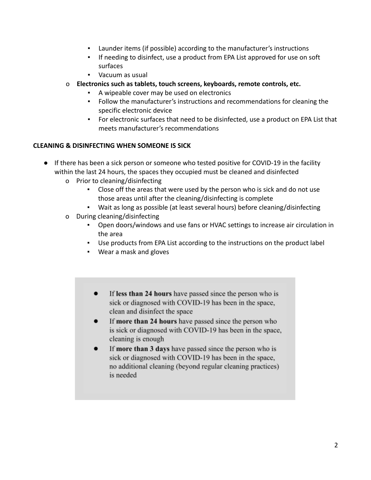- Launder items (if possible) according to the manufacturer's instructions
- If needing to disinfect, use a product from EPA List approved for use on soft surfaces
- Vacuum as usual
- o **Electronics such as tablets, touch screens, keyboards, remote controls, etc.**
	- A wipeable cover may be used on electronics
	- Follow the manufacturer's instructions and recommendations for cleaning the specific electronic device
	- For electronic surfaces that need to be disinfected, use a product on EPA List that meets manufacturer's recommendations

## **CLEANING & DISINFECTING WHEN SOMEONE IS SICK**

- If there has been a sick person or someone who tested positive for COVID-19 in the facility within the last 24 hours, the spaces they occupied must be cleaned and disinfected
	- o Prior to cleaning/disinfecting
		- Close off the areas that were used by the person who is sick and do not use those areas until after the cleaning/disinfecting is complete
		- Wait as long as possible (at least several hours) before cleaning/disinfecting
	- o During cleaning/disinfecting
		- Open doors/windows and use fans or HVAC settings to increase air circulation in the area
		- Use products from EPA List according to the instructions on the product label
		- Wear a mask and gloves
			- If less than 24 hours have passed since the person who is  $\bullet$ sick or diagnosed with COVID-19 has been in the space, clean and disinfect the space
			- If more than 24 hours have passed since the person who is sick or diagnosed with COVID-19 has been in the space, cleaning is enough
			- If more than 3 days have passed since the person who is sick or diagnosed with COVID-19 has been in the space, no additional cleaning (beyond regular cleaning practices) is needed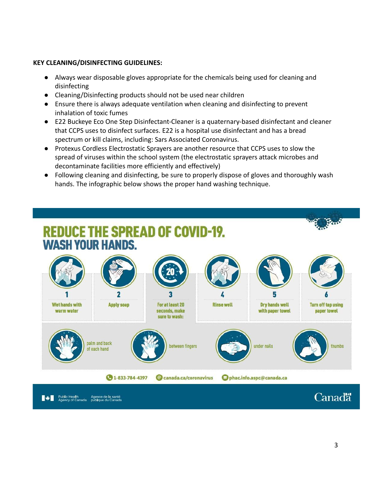## **KEY CLEANING/DISINFECTING GUIDELINES:**

- Always wear disposable gloves appropriate for the chemicals being used for cleaning and disinfecting
- Cleaning/Disinfecting products should not be used near children
- Ensure there is always adequate ventilation when cleaning and disinfecting to prevent inhalation of toxic fumes
- E22 Buckeye Eco One Step Disinfectant-Cleaner is a quaternary-based disinfectant and cleaner that CCPS uses to disinfect surfaces. E22 is a hospital use disinfectant and has a bread spectrum or kill claims, including: Sars Associated Coronavirus.
- Protexus Cordless Electrostatic Sprayers are another resource that CCPS uses to slow the spread of viruses within the school system (the electrostatic sprayers attack microbes and decontaminate facilities more efficiently and effectively)
- Following cleaning and disinfecting, be sure to properly dispose of gloves and thoroughly wash hands. The infographic below shows the proper hand washing technique.